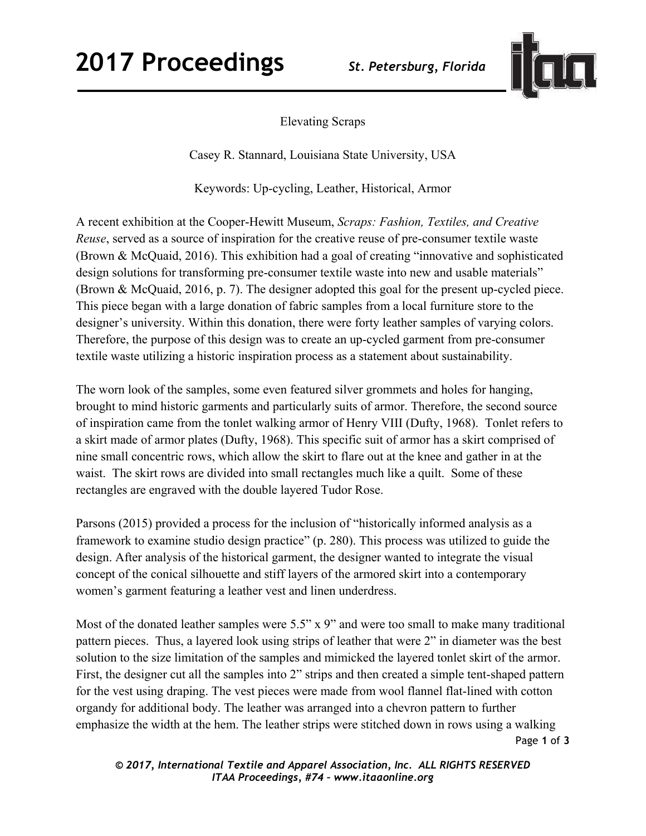

Elevating Scraps

Casey R. Stannard, Louisiana State University, USA

Keywords: Up-cycling, Leather, Historical, Armor

A recent exhibition at the Cooper-Hewitt Museum, *Scraps: Fashion, Textiles, and Creative Reuse*, served as a source of inspiration for the creative reuse of pre-consumer textile waste (Brown & McQuaid, 2016). This exhibition had a goal of creating "innovative and sophisticated design solutions for transforming pre-consumer textile waste into new and usable materials" (Brown & McQuaid, 2016, p. 7). The designer adopted this goal for the present up-cycled piece. This piece began with a large donation of fabric samples from a local furniture store to the designer's university. Within this donation, there were forty leather samples of varying colors. Therefore, the purpose of this design was to create an up-cycled garment from pre-consumer textile waste utilizing a historic inspiration process as a statement about sustainability.

The worn look of the samples, some even featured silver grommets and holes for hanging, brought to mind historic garments and particularly suits of armor. Therefore, the second source of inspiration came from the tonlet walking armor of Henry VIII (Dufty, 1968). Tonlet refers to a skirt made of armor plates (Dufty, 1968). This specific suit of armor has a skirt comprised of nine small concentric rows, which allow the skirt to flare out at the knee and gather in at the waist. The skirt rows are divided into small rectangles much like a quilt. Some of these rectangles are engraved with the double layered Tudor Rose.

Parsons (2015) provided a process for the inclusion of "historically informed analysis as a framework to examine studio design practice" (p. 280). This process was utilized to guide the design. After analysis of the historical garment, the designer wanted to integrate the visual concept of the conical silhouette and stiff layers of the armored skirt into a contemporary women's garment featuring a leather vest and linen underdress.

Page **1** of **3**  Most of the donated leather samples were 5.5" x 9" and were too small to make many traditional pattern pieces. Thus, a layered look using strips of leather that were 2" in diameter was the best solution to the size limitation of the samples and mimicked the layered tonlet skirt of the armor. First, the designer cut all the samples into 2" strips and then created a simple tent-shaped pattern for the vest using draping. The vest pieces were made from wool flannel flat-lined with cotton organdy for additional body. The leather was arranged into a chevron pattern to further emphasize the width at the hem. The leather strips were stitched down in rows using a walking

*© 2017, International Textile and Apparel Association, Inc. ALL RIGHTS RESERVED ITAA Proceedings, #74 – www.itaaonline.org*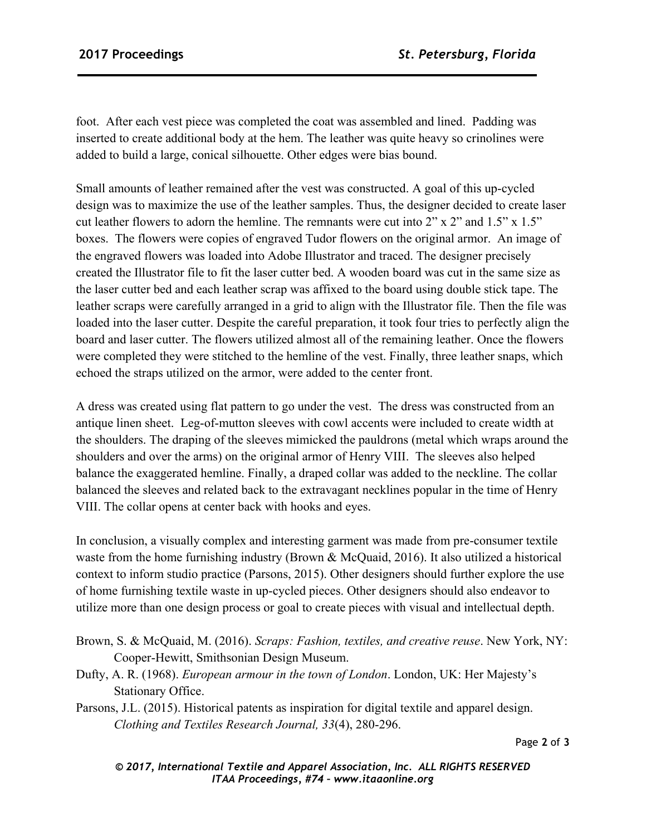foot. After each vest piece was completed the coat was assembled and lined. Padding was inserted to create additional body at the hem. The leather was quite heavy so crinolines were added to build a large, conical silhouette. Other edges were bias bound.

Small amounts of leather remained after the vest was constructed. A goal of this up-cycled design was to maximize the use of the leather samples. Thus, the designer decided to create laser cut leather flowers to adorn the hemline. The remnants were cut into 2" x 2" and 1.5" x 1.5" boxes. The flowers were copies of engraved Tudor flowers on the original armor. An image of the engraved flowers was loaded into Adobe Illustrator and traced. The designer precisely created the Illustrator file to fit the laser cutter bed. A wooden board was cut in the same size as the laser cutter bed and each leather scrap was affixed to the board using double stick tape. The leather scraps were carefully arranged in a grid to align with the Illustrator file. Then the file was loaded into the laser cutter. Despite the careful preparation, it took four tries to perfectly align the board and laser cutter. The flowers utilized almost all of the remaining leather. Once the flowers were completed they were stitched to the hemline of the vest. Finally, three leather snaps, which echoed the straps utilized on the armor, were added to the center front.

A dress was created using flat pattern to go under the vest. The dress was constructed from an antique linen sheet. Leg-of-mutton sleeves with cowl accents were included to create width at the shoulders. The draping of the sleeves mimicked the pauldrons (metal which wraps around the shoulders and over the arms) on the original armor of Henry VIII. The sleeves also helped balance the exaggerated hemline. Finally, a draped collar was added to the neckline. The collar balanced the sleeves and related back to the extravagant necklines popular in the time of Henry VIII. The collar opens at center back with hooks and eyes.

In conclusion, a visually complex and interesting garment was made from pre-consumer textile waste from the home furnishing industry (Brown & McQuaid, 2016). It also utilized a historical context to inform studio practice (Parsons, 2015). Other designers should further explore the use of home furnishing textile waste in up-cycled pieces. Other designers should also endeavor to utilize more than one design process or goal to create pieces with visual and intellectual depth.

- Brown, S. & McQuaid, M. (2016). *Scraps: Fashion, textiles, and creative reuse*. New York, NY: Cooper-Hewitt, Smithsonian Design Museum.
- Dufty, A. R. (1968). *European armour in the town of London*. London, UK: Her Majesty's Stationary Office.

Parsons, J.L. (2015). Historical patents as inspiration for digital textile and apparel design. *Clothing and Textiles Research Journal, 33*(4), 280-296.

*© 2017, International Textile and Apparel Association, Inc. ALL RIGHTS RESERVED ITAA Proceedings, #74 – www.itaaonline.org*